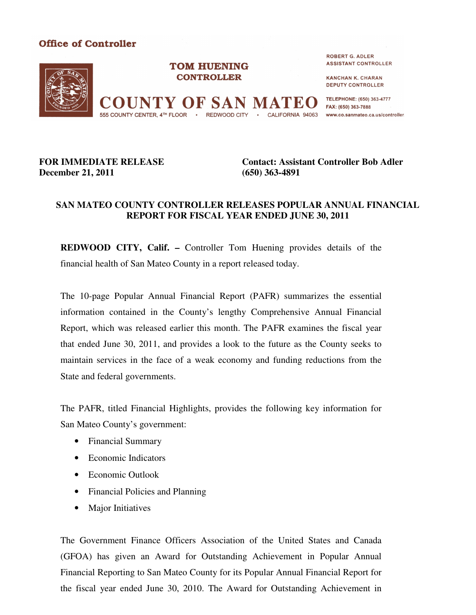

## **FOR IMMEDIATE RELEASE December 21, 2011**

**Contact: Assistant Controller Bob Adler (650) 363-4891**

## **SAN MATEO COUNTY CONTROLLER RELEASES POPULAR ANNUAL FINANCIAL REPORT FOR FISCAL YEAR ENDED JUNE 30, 2011**

**REDWOOD CITY, Calif. –** Controller Tom Huening provides details of the financial health of San Mateo County in a report released today.

The 10-page Popular Annual Financial Report (PAFR) summarizes the essential information contained in the County's lengthy Comprehensive Annual Financial Report, which was released earlier this month. The PAFR examines the fiscal year that ended June 30, 2011, and provides a look to the future as the County seeks to maintain services in the face of a weak economy and funding reductions from the State and federal governments.

The PAFR, titled Financial Highlights, provides the following key information for San Mateo County's government:

- Financial Summary
- Economic Indicators
- Economic Outlook
- Financial Policies and Planning
- Major Initiatives

The Government Finance Officers Association of the United States and Canada (GFOA) has given an Award for Outstanding Achievement in Popular Annual Financial Reporting to San Mateo County for its Popular Annual Financial Report for the fiscal year ended June 30, 2010. The Award for Outstanding Achievement in